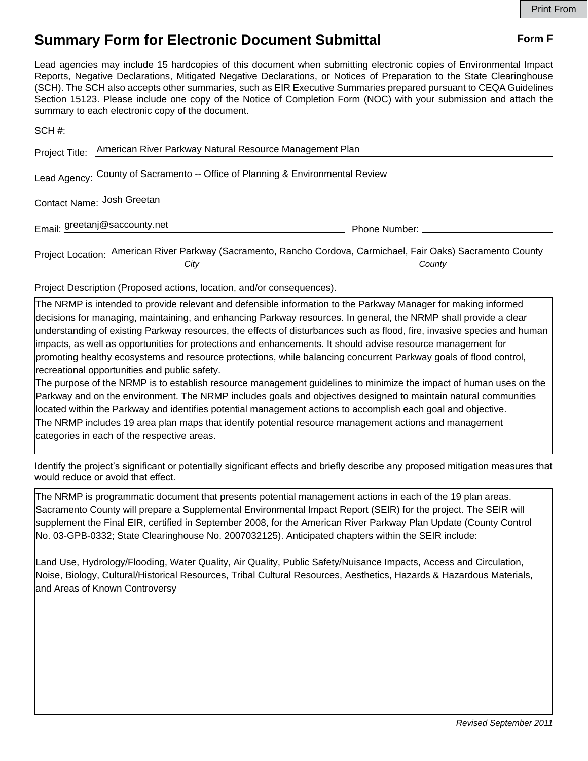## **Summary Form for Electronic Document Submittal Form F Form F**

Lead agencies may include 15 hardcopies of this document when submitting electronic copies of Environmental Impact Reports, Negative Declarations, Mitigated Negative Declarations, or Notices of Preparation to the State Clearinghouse (SCH). The SCH also accepts other summaries, such as EIR Executive Summaries prepared pursuant to CEQA Guidelines Section 15123. Please include one copy of the Notice of Completion Form (NOC) with your submission and attach the summary to each electronic copy of the document.

| Project Title:                                                                 | American River Parkway Natural Resource Management Plan                                                        |                                                                                                                                                                                                                               |
|--------------------------------------------------------------------------------|----------------------------------------------------------------------------------------------------------------|-------------------------------------------------------------------------------------------------------------------------------------------------------------------------------------------------------------------------------|
| Lead Agency: County of Sacramento -- Office of Planning & Environmental Review |                                                                                                                |                                                                                                                                                                                                                               |
| Contact Name: Josh Greetan                                                     |                                                                                                                |                                                                                                                                                                                                                               |
|                                                                                | Email: greetanj@saccounty.net                                                                                  | Phone Number: The Contract of the Contract of the Contract of the Contract of the Contract of the Contract of the Contract of the Contract of the Contract of the Contract of the Contract of the Contract of the Contract of |
|                                                                                | Project Location: American River Parkway (Sacramento, Rancho Cordova, Carmichael, Fair Oaks) Sacramento County |                                                                                                                                                                                                                               |
|                                                                                | City                                                                                                           | County                                                                                                                                                                                                                        |

Project Description (Proposed actions, location, and/or consequences).

The NRMP is intended to provide relevant and defensible information to the Parkway Manager for making informed decisions for managing, maintaining, and enhancing Parkway resources. In general, the NRMP shall provide a clear understanding of existing Parkway resources, the effects of disturbances such as flood, fire, invasive species and human impacts, as well as opportunities for protections and enhancements. It should advise resource management for promoting healthy ecosystems and resource protections, while balancing concurrent Parkway goals of flood control, recreational opportunities and public safety.

The purpose of the NRMP is to establish resource management guidelines to minimize the impact of human uses on the Parkway and on the environment. The NRMP includes goals and objectives designed to maintain natural communities located within the Parkway and identifies potential management actions to accomplish each goal and objective. The NRMP includes 19 area plan maps that identify potential resource management actions and management categories in each of the respective areas.

Identify the project's significant or potentially significant effects and briefly describe any proposed mitigation measures that would reduce or avoid that effect.

The NRMP is programmatic document that presents potential management actions in each of the 19 plan areas. Sacramento County will prepare a Supplemental Environmental Impact Report (SEIR) for the project. The SEIR will supplement the Final EIR, certified in September 2008, for the American River Parkway Plan Update (County Control No. 03-GPB-0332; State Clearinghouse No. 2007032125). Anticipated chapters within the SEIR include:

Land Use, Hydrology/Flooding, Water Quality, Air Quality, Public Safety/Nuisance Impacts, Access and Circulation, Noise, Biology, Cultural/Historical Resources, Tribal Cultural Resources, Aesthetics, Hazards & Hazardous Materials, and Areas of Known Controversy